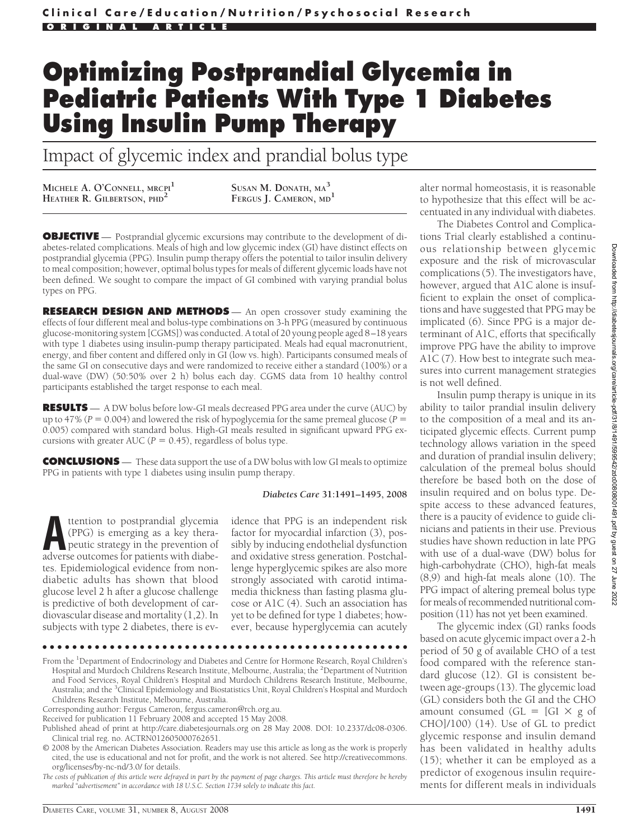# **Optimizing Postprandial Glycemia in Pediatric Patients With Type 1 Diabetes Using Insulin Pump Therapy**

Impact of glycemic index and prandial bolus type

**MICHELE A. O'CONNELL, MRCPI<sup>1</sup> HEATHER R. GILBERTSON, PHD<sup>2</sup> SUSAN M. DONATH, MA<sup>3</sup>**

**FERGUS J. CAMERON, MD<sup>1</sup>**

**OBJECTIVE** — Postprandial glycemic excursions may contribute to the development of diabetes-related complications. Meals of high and low glycemic index (GI) have distinct effects on postprandial glycemia (PPG). Insulin pump therapy offers the potential to tailor insulin delivery to meal composition; however, optimal bolus types for meals of different glycemic loads have not been defined. We sought to compare the impact of GI combined with varying prandial bolus types on PPG.

**RESEARCH DESIGN AND METHODS** — An open crossover study examining the effects of four different meal and bolus-type combinations on 3-h PPG (measured by continuous glucose-monitoring system [CGMS]) was conducted. A total of 20 young people aged 8–18 years with type 1 diabetes using insulin-pump therapy participated. Meals had equal macronutrient, energy, and fiber content and differed only in GI (low vs. high). Participants consumed meals of the same GI on consecutive days and were randomized to receive either a standard (100%) or a dual-wave (DW) (50:50% over 2 h) bolus each day. CGMS data from 10 healthy control participants established the target response to each meal.

**RESULTS** — A DW bolus before low-GI meals decreased PPG area under the curve (AUC) by up to 47% ( $P = 0.004$ ) and lowered the risk of hypoglycemia for the same premeal glucose ( $P =$ 0.005) compared with standard bolus. High-GI meals resulted in significant upward PPG excursions with greater AUC ( $P = 0.45$ ), regardless of bolus type.

**CONCLUSIONS** — These data support the use of a DW bolus with low GI meals to optimize PPG in patients with type 1 diabetes using insulin pump therapy.

#### *Diabetes Care* **31:1491–1495, 2008**

**ALTERT (PPG)** is emerging as a key therapeutic strategy in the prevention of adverse outcomes for patients with diabe-(PPG) is emerging as a key theraadverse outcomes for patients with diabetes. Epidemiological evidence from nondiabetic adults has shown that blood glucose level 2 h after a glucose challenge is predictive of both development of cardiovascular disease and mortality (1,2). In subjects with type 2 diabetes, there is ev-

idence that PPG is an independent risk factor for myocardial infarction (3), possibly by inducing endothelial dysfunction and oxidative stress generation. Postchallenge hyperglycemic spikes are also more strongly associated with carotid intimamedia thickness than fasting plasma glucose or A1C (4). Such an association has yet to be defined for type 1 diabetes; however, because hyperglycemia can acutely

●●●●●●●●●●●●●●●●●●●●●●●●●●●●●●●●●●●●●●●●●●●●●●●●●

From the <sup>1</sup>Department of Endocrinology and Diabetes and Centre for Hormone Research, Royal Children's Hospital and Murdoch Childrens Research Institute, Melbourne, Australia; the <sup>2</sup> Department of Nutrition and Food Services, Royal Children's Hospital and Murdoch Childrens Research Institute, Melbourne, Australia; and the <sup>3</sup>Clinical Epidemiology and Biostatistics Unit, Royal Children's Hospital and Murdoch Childrens Research Institute, Melbourne, Australia.

Corresponding author: Fergus Cameron, fergus.cameron@rch.org.au.

Received for publication 11 February 2008 and accepted 15 May 2008.

*The costs of publication of this article were defrayed in part by the payment of page charges. This article must therefore be hereby marked "advertisement" in accordance with 18 U.S.C. Section 1734 solely to indicate this fact.*

alter normal homeostasis, it is reasonable to hypothesize that this effect will be accentuated in any individual with diabetes.

The Diabetes Control and Complications Trial clearly established a continuous relationship between glycemic exposure and the risk of microvascular complications (5). The investigators have, however, argued that A1C alone is insufficient to explain the onset of complications and have suggested that PPG may be implicated (6). Since PPG is a major determinant of A1C, efforts that specifically improve PPG have the ability to improve A1C (7). How best to integrate such measures into current management strategies is not well defined.

Insulin pump therapy is unique in its ability to tailor prandial insulin delivery to the composition of a meal and its anticipated glycemic effects. Current pump technology allows variation in the speed and duration of prandial insulin delivery; calculation of the premeal bolus should therefore be based both on the dose of insulin required and on bolus type. Despite access to these advanced features, there is a paucity of evidence to guide clinicians and patients in their use. Previous studies have shown reduction in late PPG with use of a dual-wave (DW) bolus for high-carbohydrate (CHO), high-fat meals (8,9) and high-fat meals alone (10). The PPG impact of altering premeal bolus type for meals of recommended nutritional composition (11) has not yet been examined.

The glycemic index (GI) ranks foods based on acute glycemic impact over a 2-h period of 50 g of available CHO of a test food compared with the reference standard glucose (12). GI is consistent between age-groups (13). The glycemic load (GL) considers both the GI and the CHO amount consumed (GL  $=$  [GI  $\times$  g of CHO]/100) (14). Use of GL to predict glycemic response and insulin demand has been validated in healthy adults (15); whether it can be employed as a predictor of exogenous insulin requirements for different meals in individuals

Published ahead of print at http://care.diabetesjournals.org on 28 May 2008. DOI: 10.2337/dc08-0306. Clinical trial reg. no. ACTRN012605000762651.

<sup>© 2008</sup> by the American Diabetes Association. Readers may use this article as long as the work is properly cited, the use is educational and not for profit, and the work is not altered. See http://creativecommons. org/licenses/by-nc-nd/3.0/ for details.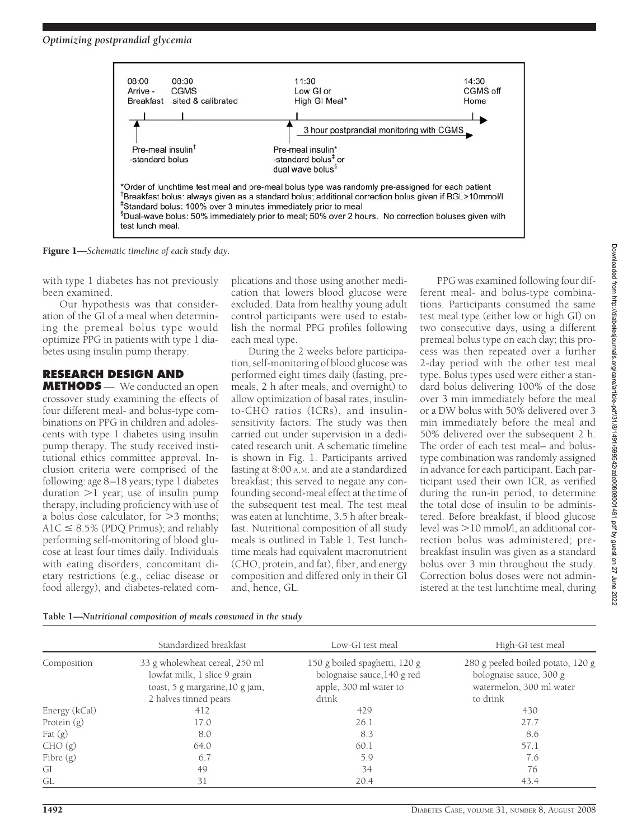*Optimizing postprandial glycemia*



Figure 1—*Schematic timeline of each study day.*

with type 1 diabetes has not previously been examined.

Our hypothesis was that consideration of the GI of a meal when determining the premeal bolus type would optimize PPG in patients with type 1 diabetes using insulin pump therapy.

## **RESEARCH DESIGN AND**

**METHODS** — We conducted an open crossover study examining the effects of four different meal- and bolus-type combinations on PPG in children and adolescents with type 1 diabetes using insulin pump therapy. The study received institutional ethics committee approval. Inclusion criteria were comprised of the following: age 8–18 years; type 1 diabetes duration  $>1$  year; use of insulin pump therapy, including proficiency with use of a bolus dose calculator, for  $>$ 3 months;  $A1C \leq 8.5\%$  (PDQ Primus); and reliably performing self-monitoring of blood glucose at least four times daily. Individuals with eating disorders, concomitant dietary restrictions (e.g., celiac disease or food allergy), and diabetes-related complications and those using another medication that lowers blood glucose were excluded. Data from healthy young adult control participants were used to establish the normal PPG profiles following each meal type.

During the 2 weeks before participation, self-monitoring of blood glucose was performed eight times daily (fasting, premeals, 2 h after meals, and overnight) to allow optimization of basal rates, insulinto-CHO ratios (ICRs), and insulinsensitivity factors. The study was then carried out under supervision in a dedicated research unit. A schematic timeline is shown in Fig. 1. Participants arrived fasting at 8:00 A.M. and ate a standardized breakfast; this served to negate any confounding second-meal effect at the time of the subsequent test meal. The test meal was eaten at lunchtime, 3.5 h after breakfast. Nutritional composition of all study meals is outlined in Table 1. Test lunchtime meals had equivalent macronutrient (CHO, protein, and fat), fiber, and energy composition and differed only in their GI and, hence, GL.

PPG was examined following four different meal- and bolus-type combinations. Participants consumed the same test meal type (either low or high GI) on two consecutive days, using a different premeal bolus type on each day; this process was then repeated over a further 2-day period with the other test meal type. Bolus types used were either a standard bolus delivering 100% of the dose over 3 min immediately before the meal or a DW bolus with 50% delivered over 3 min immediately before the meal and 50% delivered over the subsequent 2 h. The order of each test meal– and bolustype combination was randomly assigned in advance for each participant. Each participant used their own ICR, as verified during the run-in period, to determine the total dose of insulin to be administered. Before breakfast, if blood glucose level was  $>$  10 mmol/l, an additional correction bolus was administered; prebreakfast insulin was given as a standard bolus over 3 min throughout the study. Correction bolus doses were not administered at the test lunchtime meal, during

**Table 1—***Nutritional composition of meals consumed in the study*

|               | Standardized breakfast                                                                                                     | Low-GI test meal                                                                                | High-GI test meal                                                                                    |
|---------------|----------------------------------------------------------------------------------------------------------------------------|-------------------------------------------------------------------------------------------------|------------------------------------------------------------------------------------------------------|
| Composition   | 33 g wholewheat cereal, 250 ml<br>lowfat milk, 1 slice 9 grain<br>toast, 5 g margarine, 10 g jam,<br>2 halves tinned pears | 150 g boiled spaghetti, 120 g<br>bolognaise sauce, 140 g red<br>apple, 300 ml water to<br>drink | 280 g peeled boiled potato, 120 g<br>bolognaise sauce, 300 g<br>watermelon, 300 ml water<br>to drink |
| Energy (kCal) | 412                                                                                                                        | 429                                                                                             | 430                                                                                                  |
| Protein $(g)$ | 17.0                                                                                                                       | 26.1                                                                                            | 27.7                                                                                                 |
| Fat $(g)$     | 8.0                                                                                                                        | 8.3                                                                                             | 8.6                                                                                                  |
| CHO(g)        | 64.0                                                                                                                       | 60.1                                                                                            | 57.1                                                                                                 |
| Fibre $(g)$   | 6.7                                                                                                                        | 5.9                                                                                             | 7.6                                                                                                  |
| GI            | 49                                                                                                                         | 34                                                                                              | 76                                                                                                   |
| GL            | 31                                                                                                                         | 20.4                                                                                            | 43.4                                                                                                 |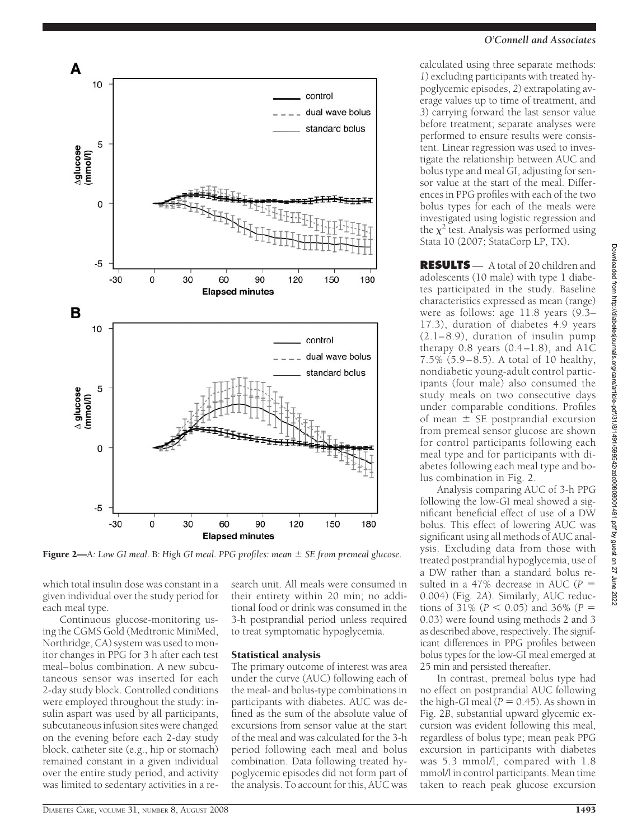

Figure 2—A*: Low GI meal.* B*: High GI meal. PPG profiles: mean SE from premeal glucose.*

which total insulin dose was constant in a given individual over the study period for each meal type.

Continuous glucose-monitoring using the CGMS Gold (Medtronic MiniMed, Northridge, CA) system was used to monitor changes in PPG for 3 h after each test meal–bolus combination. A new subcutaneous sensor was inserted for each 2-day study block. Controlled conditions were employed throughout the study: insulin aspart was used by all participants, subcutaneous infusion sites were changed on the evening before each 2-day study block, catheter site (e.g., hip or stomach) remained constant in a given individual over the entire study period, and activity was limited to sedentary activities in a research unit. All meals were consumed in their entirety within 20 min; no additional food or drink was consumed in the 3-h postprandial period unless required to treat symptomatic hypoglycemia.

#### Statistical analysis

The primary outcome of interest was area under the curve (AUC) following each of the meal- and bolus-type combinations in participants with diabetes. AUC was defined as the sum of the absolute value of excursions from sensor value at the start of the meal and was calculated for the 3-h period following each meal and bolus combination. Data following treated hypoglycemic episodes did not form part of the analysis. To account for this, AUC was

calculated using three separate methods: *1*) excluding participants with treated hypoglycemic episodes, *2*) extrapolating average values up to time of treatment, and *3*) carrying forward the last sensor value before treatment; separate analyses were performed to ensure results were consistent. Linear regression was used to investigate the relationship between AUC and bolus type and meal GI, adjusting for sensor value at the start of the meal. Differences in PPG profiles with each of the two bolus types for each of the meals were investigated using logistic regression and the  $\chi^2$  test. Analysis was performed using Stata 10 (2007; StataCorp LP, TX).

**RESULTS** — A total of 20 children and adolescents (10 male) with type 1 diabetes participated in the study. Baseline characteristics expressed as mean (range) were as follows: age 11.8 years (9.3– 17.3), duration of diabetes 4.9 years (2.1–8.9), duration of insulin pump therapy  $0.8$  years  $(0.4–1.8)$ , and A1C 7.5% (5.9–8.5). A total of 10 healthy, nondiabetic young-adult control participants (four male) also consumed the study meals on two consecutive days under comparable conditions. Profiles of mean  $\pm$  SE postprandial excursion from premeal sensor glucose are shown for control participants following each meal type and for participants with diabetes following each meal type and bolus combination in Fig. 2.

Analysis comparing AUC of 3-h PPG following the low-GI meal showed a significant beneficial effect of use of a DW bolus. This effect of lowering AUC was significant using all methods of AUC analysis. Excluding data from those with treated postprandial hypoglycemia, use of a DW rather than a standard bolus resulted in a 47% decrease in AUC (*P* 0.004) (Fig. 2*A*). Similarly, AUC reductions of  $31\%$  (*P* < 0.05) and  $36\%$  (*P* = 0.03) were found using methods 2 and 3 as described above, respectively. The significant differences in PPG profiles between bolus types for the low-GI meal emerged at 25 min and persisted thereafter.

In contrast, premeal bolus type had no effect on postprandial AUC following the high-GI meal  $(P = 0.45)$ . As shown in Fig. 2*B*, substantial upward glycemic excursion was evident following this meal, regardless of bolus type; mean peak PPG excursion in participants with diabetes was 5.3 mmol/l, compared with 1.8 mmol/l in control participants. Mean time taken to reach peak glucose excursion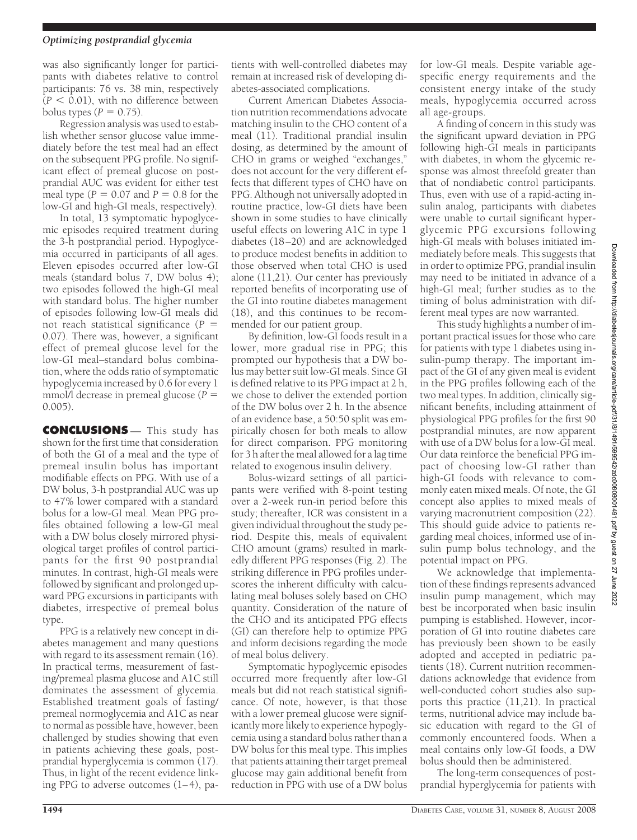### *Optimizing postprandial glycemia*

was also significantly longer for participants with diabetes relative to control participants: 76 vs. 38 min, respectively  $(P < 0.01)$ , with no difference between bolus types  $(P = 0.75)$ .

Regression analysis was used to establish whether sensor glucose value immediately before the test meal had an effect on the subsequent PPG profile. No significant effect of premeal glucose on postprandial AUC was evident for either test meal type  $(P = 0.07$  and  $P = 0.8$  for the low-GI and high-GI meals, respectively).

In total, 13 symptomatic hypoglycemic episodes required treatment during the 3-h postprandial period. Hypoglycemia occurred in participants of all ages. Eleven episodes occurred after low-GI meals (standard bolus 7, DW bolus 4); two episodes followed the high-GI meal with standard bolus. The higher number of episodes following low-GI meals did not reach statistical significance (*P* 0.07). There was, however, a significant effect of premeal glucose level for the low-GI meal–standard bolus combination, where the odds ratio of symptomatic hypoglycemia increased by 0.6 for every 1 mmol/l decrease in premeal glucose (*P* 0.005).

**CONCLUSIONS** — This study has shown for the first time that consideration of both the GI of a meal and the type of premeal insulin bolus has important modifiable effects on PPG. With use of a DW bolus, 3-h postprandial AUC was up to 47% lower compared with a standard bolus for a low-GI meal. Mean PPG profiles obtained following a low-GI meal with a DW bolus closely mirrored physiological target profiles of control participants for the first 90 postprandial minutes. In contrast, high-GI meals were followed by significant and prolonged upward PPG excursions in participants with diabetes, irrespective of premeal bolus type

PPG is a relatively new concept in diabetes management and many questions with regard to its assessment remain  $(16)$ . In practical terms, measurement of fasting/premeal plasma glucose and A1C still dominates the assessment of glycemia. Established treatment goals of fasting/ premeal normoglycemia and A1C as near to normal as possible have, however, been challenged by studies showing that even in patients achieving these goals, postprandial hyperglycemia is common (17). Thus, in light of the recent evidence linking PPG to adverse outcomes (1–4), pa-

tients with well-controlled diabetes may remain at increased risk of developing diabetes-associated complications.

Current American Diabetes Association nutrition recommendations advocate matching insulin to the CHO content of a meal (11). Traditional prandial insulin dosing, as determined by the amount of CHO in grams or weighed "exchanges," does not account for the very different effects that different types of CHO have on PPG. Although not universally adopted in routine practice, low-GI diets have been shown in some studies to have clinically useful effects on lowering A1C in type 1 diabetes (18–20) and are acknowledged to produce modest benefits in addition to those observed when total CHO is used alone (11,21). Our center has previously reported benefits of incorporating use of the GI into routine diabetes management (18), and this continues to be recommended for our patient group.

By definition, low-GI foods result in a lower, more gradual rise in PPG; this prompted our hypothesis that a DW bolus may better suit low-GI meals. Since GI is defined relative to its PPG impact at 2 h, we chose to deliver the extended portion of the DW bolus over 2 h. In the absence of an evidence base, a 50:50 split was empirically chosen for both meals to allow for direct comparison. PPG monitoring for 3 h after the meal allowed for a lag time related to exogenous insulin delivery.

Bolus-wizard settings of all participants were verified with 8-point testing over a 2-week run-in period before this study; thereafter, ICR was consistent in a given individual throughout the study period. Despite this, meals of equivalent CHO amount (grams) resulted in markedly different PPG responses (Fig. 2). The striking difference in PPG profiles underscores the inherent difficulty with calculating meal boluses solely based on CHO quantity. Consideration of the nature of the CHO and its anticipated PPG effects (GI) can therefore help to optimize PPG and inform decisions regarding the mode of meal bolus delivery.

Symptomatic hypoglycemic episodes occurred more frequently after low-GI meals but did not reach statistical significance. Of note, however, is that those with a lower premeal glucose were significantly more likely to experience hypoglycemia using a standard bolus rather than a DW bolus for this meal type. This implies that patients attaining their target premeal glucose may gain additional benefit from reduction in PPG with use of a DW bolus

for low-GI meals. Despite variable agespecific energy requirements and the consistent energy intake of the study meals, hypoglycemia occurred across all age-groups.

A finding of concern in this study was the significant upward deviation in PPG following high-GI meals in participants with diabetes, in whom the glycemic response was almost threefold greater than that of nondiabetic control participants. Thus, even with use of a rapid-acting insulin analog, participants with diabetes were unable to curtail significant hyperglycemic PPG excursions following high-GI meals with boluses initiated immediately before meals. This suggests that in order to optimize PPG, prandial insulin may need to be initiated in advance of a high-GI meal; further studies as to the timing of bolus administration with different meal types are now warranted.

This study highlights a number of important practical issues for those who care for patients with type 1 diabetes using insulin-pump therapy. The important impact of the GI of any given meal is evident in the PPG profiles following each of the two meal types. In addition, clinically significant benefits, including attainment of physiological PPG profiles for the first 90 postprandial minutes, are now apparent with use of a DW bolus for a low-GI meal. Our data reinforce the beneficial PPG impact of choosing low-GI rather than high-GI foods with relevance to commonly eaten mixed meals. Of note, the GI concept also applies to mixed meals of varying macronutrient composition (22). This should guide advice to patients regarding meal choices, informed use of insulin pump bolus technology, and the potential impact on PPG.

We acknowledge that implementation of these findings represents advanced insulin pump management, which may best be incorporated when basic insulin pumping is established. However, incorporation of GI into routine diabetes care has previously been shown to be easily adopted and accepted in pediatric patients (18). Current nutrition recommendations acknowledge that evidence from well-conducted cohort studies also supports this practice (11,21). In practical terms, nutritional advice may include basic education with regard to the GI of commonly encountered foods. When a meal contains only low-GI foods, a DW bolus should then be administered.

The long-term consequences of postprandial hyperglycemia for patients with